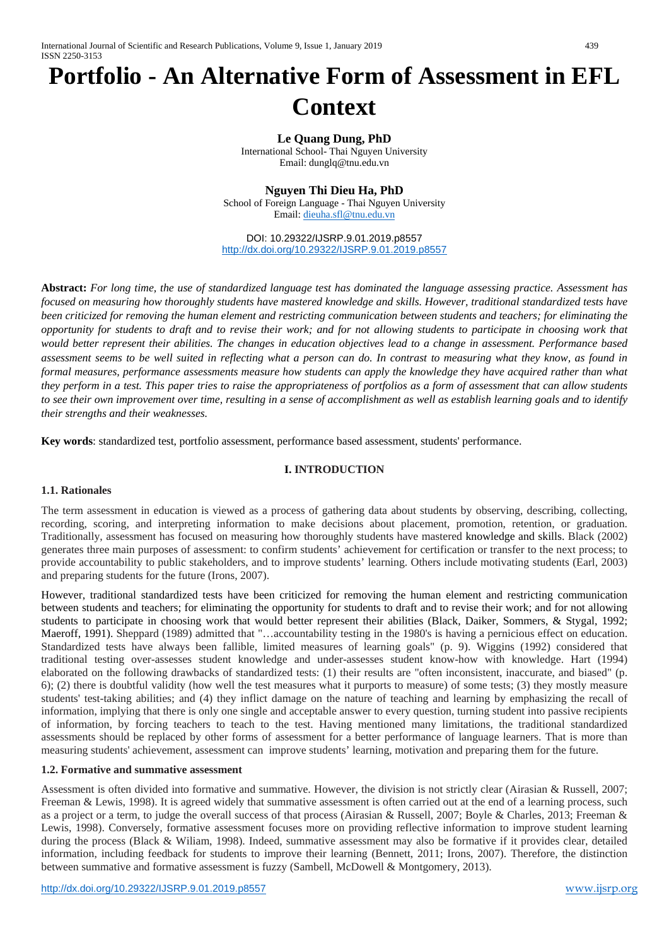# **Portfolio - An Alternative Form of Assessment in EFL Context**

**Le Quang Dung, PhD** International School- Thai Nguyen University Email: dunglq@tnu.edu.vn

**Nguyen Thi Dieu Ha, PhD**

School of Foreign Language - Thai Nguyen University Email: [dieuha.sfl@tnu.edu.vn](mailto:dieuha.sfl@tnu.edu.vn)

DOI: 10.29322/IJSRP.9.01.2019.p8557 <http://dx.doi.org/10.29322/IJSRP.9.01.2019.p8557>

**Abstract:** *For long time, the use of standardized language test has dominated the language assessing practice. Assessment has focused on measuring how thoroughly students have mastered knowledge and skills. However, traditional standardized tests have been criticized for removing the human element and restricting communication between students and teachers; for eliminating the opportunity for students to draft and to revise their work; and for not allowing students to participate in choosing work that would better represent their abilities. The changes in education objectives lead to a change in assessment. Performance based assessment seems to be well suited in reflecting what a person can do. In contrast to measuring what they know, as found in formal measures, performance assessments measure how students can apply the knowledge they have acquired rather than what they perform in a test. This paper tries to raise the appropriateness of portfolios as a form of assessment that can allow students to see their own improvement over time, resulting in a sense of accomplishment as well as establish learning goals and to identify their strengths and their weaknesses.*

**Key words**: standardized test, portfolio assessment, performance based assessment, students' performance.

## **I. INTRODUCTION**

## **1.1. Rationales**

The term assessment in education is viewed as a process of gathering data about students by observing, describing, collecting, recording, scoring, and interpreting information to make decisions about placement, promotion, retention, or graduation. Traditionally, assessment has focused on measuring how thoroughly students have mastered knowledge and skills. Black (2002) generates three main purposes of assessment: to confirm students' achievement for certification or transfer to the next process; to provide accountability to public stakeholders, and to improve students' learning. Others include motivating students (Earl, 2003) and preparing students for the future (Irons, 2007).

However, traditional standardized tests have been criticized for removing the human element and restricting communication between students and teachers; for eliminating the opportunity for students to draft and to revise their work; and for not allowing students to participate in choosing work that would better represent their abilities (Black, Daiker, Sommers, & Stygal, 1992; Maeroff, 1991). Sheppard (1989) admitted that "…accountability testing in the 1980's is having a pernicious effect on education. Standardized tests have always been fallible, limited measures of learning goals" (p. 9). Wiggins (1992) considered that traditional testing over-assesses student knowledge and under-assesses student know-how with knowledge. Hart (1994) elaborated on the following drawbacks of standardized tests: (1) their results are "often inconsistent, inaccurate, and biased" (p. 6); (2) there is doubtful validity (how well the test measures what it purports to measure) of some tests; (3) they mostly measure students' test-taking abilities; and (4) they inflict damage on the nature of teaching and learning by emphasizing the recall of information, implying that there is only one single and acceptable answer to every question, turning student into passive recipients of information, by forcing teachers to teach to the test. Having mentioned many limitations, the traditional standardized assessments should be replaced by other forms of assessment for a better performance of language learners. That is more than measuring students' achievement, assessment can improve students' learning, motivation and preparing them for the future.

## **1.2. Formative and summative assessment**

Assessment is often divided into formative and summative. However, the division is not strictly clear (Airasian & Russell, 2007; Freeman & Lewis, 1998). It is agreed widely that summative assessment is often carried out at the end of a learning process, such as a project or a term, to judge the overall success of that process (Airasian & Russell, 2007; Boyle & Charles, 2013; Freeman & Lewis, 1998). Conversely, formative assessment focuses more on providing reflective information to improve student learning during the process (Black & Wiliam, 1998). Indeed, summative assessment may also be formative if it provides clear, detailed information, including feedback for students to improve their learning (Bennett, 2011; Irons, 2007). Therefore, the distinction between summative and formative assessment is fuzzy (Sambell, McDowell & Montgomery, 2013).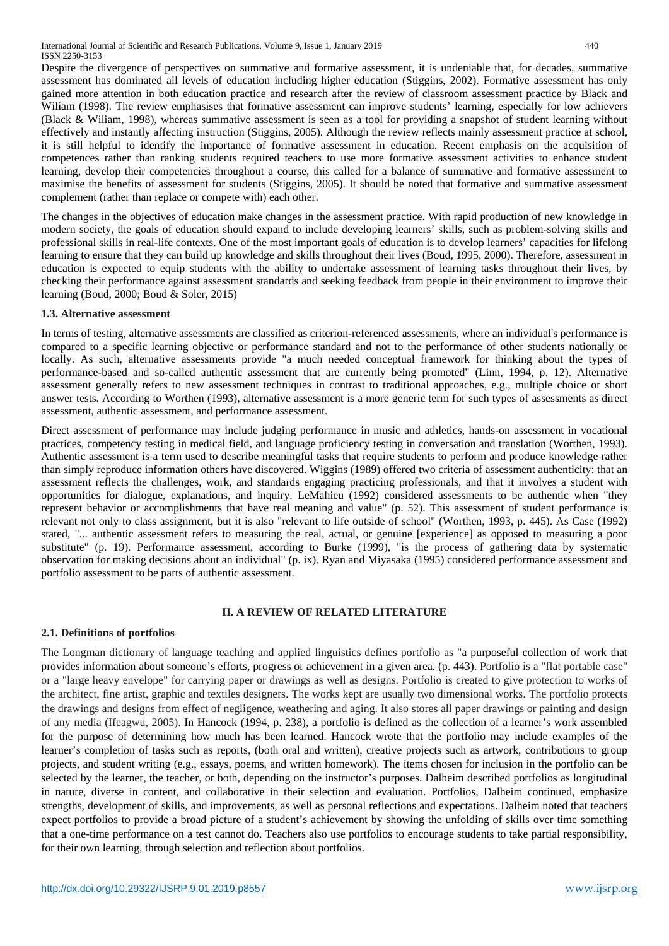Despite the divergence of perspectives on summative and formative assessment, it is undeniable that, for decades, summative assessment has dominated all levels of education including higher education (Stiggins, 2002). Formative assessment has only gained more attention in both education practice and research after the review of classroom assessment practice by Black and Wiliam (1998). The review emphasises that formative assessment can improve students' learning, especially for low achievers (Black & Wiliam, 1998), whereas summative assessment is seen as a tool for providing a snapshot of student learning without effectively and instantly affecting instruction (Stiggins, 2005). Although the review reflects mainly assessment practice at school, it is still helpful to identify the importance of formative assessment in education. Recent emphasis on the acquisition of competences rather than ranking students required teachers to use more formative assessment activities to enhance student learning, develop their competencies throughout a course, this called for a balance of summative and formative assessment to maximise the benefits of assessment for students (Stiggins, 2005). It should be noted that formative and summative assessment complement (rather than replace or compete with) each other.

The changes in the objectives of education make changes in the assessment practice. With rapid production of new knowledge in modern society, the goals of education should expand to include developing learners' skills, such as problem-solving skills and professional skills in real-life contexts. One of the most important goals of education is to develop learners' capacities for lifelong learning to ensure that they can build up knowledge and skills throughout their lives (Boud, 1995, 2000). Therefore, assessment in education is expected to equip students with the ability to undertake assessment of learning tasks throughout their lives, by checking their performance against assessment standards and seeking feedback from people in their environment to improve their learning (Boud, 2000; Boud & Soler, 2015)

# **1.3. Alternative assessment**

In terms of testing, alternative assessments are classified as criterion-referenced assessments, where an individual's performance is compared to a specific learning objective or performance standard and not to the performance of other students nationally or locally. As such, alternative assessments provide "a much needed conceptual framework for thinking about the types of performance-based and so-called authentic assessment that are currently being promoted" (Linn, 1994, p. 12). Alternative assessment generally refers to new assessment techniques in contrast to traditional approaches, e.g., multiple choice or short answer tests. According to Worthen (1993), alternative assessment is a more generic term for such types of assessments as direct assessment, authentic assessment, and performance assessment.

Direct assessment of performance may include judging performance in music and athletics, hands-on assessment in vocational practices, competency testing in medical field, and language proficiency testing in conversation and translation (Worthen, 1993). Authentic assessment is a term used to describe meaningful tasks that require students to perform and produce knowledge rather than simply reproduce information others have discovered. Wiggins (1989) offered two criteria of assessment authenticity: that an assessment reflects the challenges, work, and standards engaging practicing professionals, and that it involves a student with opportunities for dialogue, explanations, and inquiry. LeMahieu (1992) considered assessments to be authentic when "they represent behavior or accomplishments that have real meaning and value" (p. 52). This assessment of student performance is relevant not only to class assignment, but it is also "relevant to life outside of school" (Worthen, 1993, p. 445). As Case (1992) stated, "... authentic assessment refers to measuring the real, actual, or genuine [experience] as opposed to measuring a poor substitute" (p. 19). Performance assessment, according to Burke (1999), "is the process of gathering data by systematic observation for making decisions about an individual" (p. ix). Ryan and Miyasaka (1995) considered performance assessment and portfolio assessment to be parts of authentic assessment.

# **II. A REVIEW OF RELATED LITERATURE**

## **2.1. Definitions of portfolios**

The Longman dictionary of language teaching and applied linguistics defines portfolio as "a purposeful collection of work that provides information about someone's efforts, progress or achievement in a given area. (p. 443). Portfolio is a "flat portable case" or a "large heavy envelope" for carrying paper or drawings as well as designs. Portfolio is created to give protection to works of the architect, fine artist, graphic and textiles designers. The works kept are usually two dimensional works. The portfolio protects the drawings and designs from effect of negligence, weathering and aging. It also stores all paper drawings or painting and design of any media (Ifeagwu, 2005). In Hancock (1994, p. 238), a portfolio is defined as the collection of a learner's work assembled for the purpose of determining how much has been learned. Hancock wrote that the portfolio may include examples of the learner's completion of tasks such as reports, (both oral and written), creative projects such as artwork, contributions to group projects, and student writing (e.g., essays, poems, and written homework). The items chosen for inclusion in the portfolio can be selected by the learner, the teacher, or both, depending on the instructor's purposes. Dalheim described portfolios as longitudinal in nature, diverse in content, and collaborative in their selection and evaluation. Portfolios, Dalheim continued, emphasize strengths, development of skills, and improvements, as well as personal reflections and expectations. Dalheim noted that teachers expect portfolios to provide a broad picture of a student's achievement by showing the unfolding of skills over time something that a one-time performance on a test cannot do. Teachers also use portfolios to encourage students to take partial responsibility, for their own learning, through selection and reflection about portfolios.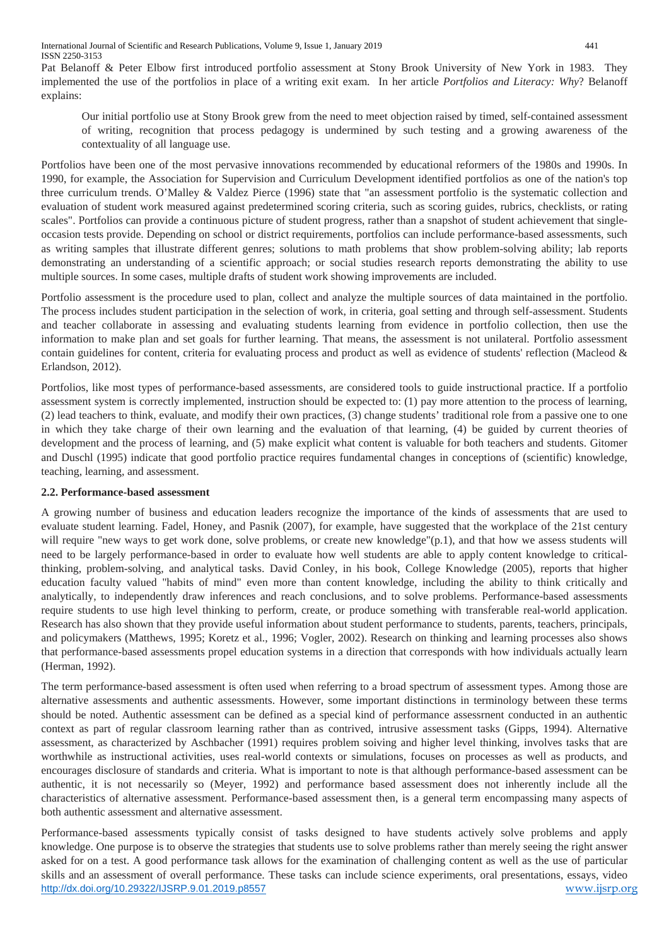Pat Belanoff & Peter Elbow first introduced portfolio assessment at Stony Brook University of New York in 1983. They implemented the use of the portfolios in place of a writing exit exam. In her article *Portfolios and Literacy: Why*? Belanoff explains:

Our initial portfolio use at Stony Brook grew from the need to meet objection raised by timed, self-contained assessment of writing, recognition that process pedagogy is undermined by such testing and a growing awareness of the contextuality of all language use.

Portfolios have been one of the most pervasive innovations recommended by educational reformers of the 1980s and 1990s. In 1990, for example, the Association for Supervision and Curriculum Development identified portfolios as one of the nation's top three curriculum trends. O'Malley & Valdez Pierce (1996) state that "an assessment portfolio is the systematic collection and evaluation of student work measured against predetermined scoring criteria, such as scoring guides, rubrics, checklists, or rating scales". Portfolios can provide a continuous picture of student progress, rather than a snapshot of student achievement that singleoccasion tests provide. Depending on school or district requirements, portfolios can include performance-based assessments, such as writing samples that illustrate different genres; solutions to math problems that show problem-solving ability; lab reports demonstrating an understanding of a scientific approach; or social studies research reports demonstrating the ability to use multiple sources. In some cases, multiple drafts of student work showing improvements are included.

Portfolio assessment is the procedure used to plan, collect and analyze the multiple sources of data maintained in the portfolio. The process includes student participation in the selection of work, in criteria, goal setting and through self-assessment. Students and teacher collaborate in assessing and evaluating students learning from evidence in portfolio collection, then use the information to make plan and set goals for further learning. That means, the assessment is not unilateral. Portfolio assessment contain guidelines for content, criteria for evaluating process and product as well as evidence of students' reflection (Macleod & Erlandson, 2012).

Portfolios, like most types of performance-based assessments, are considered tools to guide instructional practice. If a portfolio assessment system is correctly implemented, instruction should be expected to: (1) pay more attention to the process of learning, (2) lead teachers to think, evaluate, and modify their own practices, (3) change students' traditional role from a passive one to one in which they take charge of their own learning and the evaluation of that learning, (4) be guided by current theories of development and the process of learning, and (5) make explicit what content is valuable for both teachers and students. Gitomer and Duschl (1995) indicate that good portfolio practice requires fundamental changes in conceptions of (scientific) knowledge, teaching, learning, and assessment.

# **2.2. Performance-based assessment**

A growing number of business and education leaders recognize the importance of the kinds of assessments that are used to evaluate student learning. Fadel, Honey, and Pasnik (2007), for example, have suggested that the workplace of the 21st century will require "new ways to get work done, solve problems, or create new knowledge"(p.1), and that how we assess students will need to be largely performance-based in order to evaluate how well students are able to apply content knowledge to criticalthinking, problem-solving, and analytical tasks. David Conley, in his book, College Knowledge (2005), reports that higher education faculty valued "habits of mind" even more than content knowledge, including the ability to think critically and analytically, to independently draw inferences and reach conclusions, and to solve problems. Performance-based assessments require students to use high level thinking to perform, create, or produce something with transferable real-world application. Research has also shown that they provide useful information about student performance to students, parents, teachers, principals, and policymakers (Matthews, 1995; Koretz et al., 1996; Vogler, 2002). Research on thinking and learning processes also shows that performance-based assessments propel education systems in a direction that corresponds with how individuals actually learn (Herman, 1992).

The term performance-based assessment is often used when referring to a broad spectrum of assessment types. Among those are alternative assessments and authentic assessments. However, some important distinctions in terminology between these terms should be noted. Authentic assessment can be defined as a special kind of performance assessrnent conducted in an authentic context as part of regular classroom learning rather than as contrived, intrusive assessment tasks (Gipps, 1994). Alternative assessment, as characterized by Aschbacher (1991) requires problem soiving and higher level thinking, involves tasks that are worthwhile as instructional activities, uses real-world contexts or simulations, focuses on processes as well as products, and encourages disclosure of standards and criteria. What is important to note is that although performance-based assessment can be authentic, it is not necessarily so (Meyer, 1992) and performance based assessment does not inherently include all the characteristics of alternative assessment. Performance-based assessment then, is a general term encompassing many aspects of both authentic assessment and alternative assessment.

<http://dx.doi.org/10.29322/IJSRP.9.01.2019.p8557> [www.ijsrp.org](http://ijsrp.org/) Performance-based assessments typically consist of tasks designed to have students actively solve problems and apply knowledge. One purpose is to observe the strategies that students use to solve problems rather than merely seeing the right answer asked for on a test. A good performance task allows for the examination of challenging content as well as the use of particular skills and an assessment of overall performance. These tasks can include science experiments, oral presentations, essays, video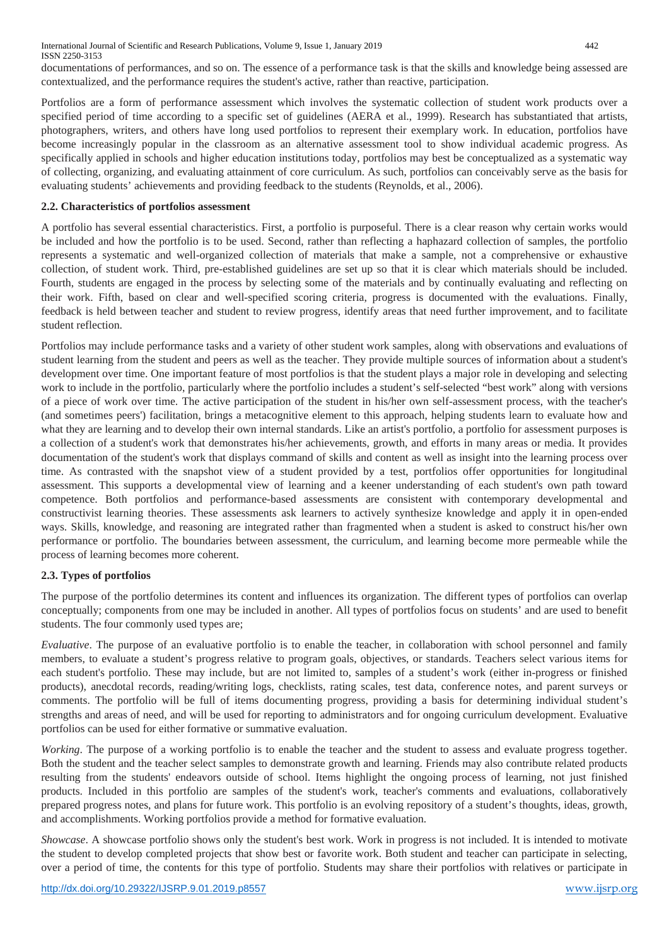documentations of performances, and so on. The essence of a performance task is that the skills and knowledge being assessed are contextualized, and the performance requires the student's active, rather than reactive, participation.

Portfolios are a form of performance assessment which involves the systematic collection of student work products over a specified period of time according to a specific set of guidelines (AERA et al., 1999). Research has substantiated that artists, photographers, writers, and others have long used portfolios to represent their exemplary work. In education, portfolios have become increasingly popular in the classroom as an alternative assessment tool to show individual academic progress. As specifically applied in schools and higher education institutions today, portfolios may best be conceptualized as a systematic way of collecting, organizing, and evaluating attainment of core curriculum. As such, portfolios can conceivably serve as the basis for evaluating students' achievements and providing feedback to the students (Reynolds, et al., 2006).

## **2.2. Characteristics of portfolios assessment**

A portfolio has several essential characteristics. First, a portfolio is purposeful. There is a clear reason why certain works would be included and how the portfolio is to be used. Second, rather than reflecting a haphazard collection of samples, the portfolio represents a systematic and well-organized collection of materials that make a sample, not a comprehensive or exhaustive collection, of student work. Third, pre-established guidelines are set up so that it is clear which materials should be included. Fourth, students are engaged in the process by selecting some of the materials and by continually evaluating and reflecting on their work. Fifth, based on clear and well-specified scoring criteria, progress is documented with the evaluations. Finally, feedback is held between teacher and student to review progress, identify areas that need further improvement, and to facilitate student reflection.

Portfolios may include performance tasks and a variety of other student work samples, along with observations and evaluations of student learning from the student and peers as well as the teacher. They provide multiple sources of information about a student's development over time. One important feature of most portfolios is that the student plays a major role in developing and selecting work to include in the portfolio, particularly where the portfolio includes a student's self-selected "best work" along with versions of a piece of work over time. The active participation of the student in his/her own self-assessment process, with the teacher's (and sometimes peers') facilitation, brings a metacognitive element to this approach, helping students learn to evaluate how and what they are learning and to develop their own internal standards. Like an artist's portfolio, a portfolio for assessment purposes is a collection of a student's work that demonstrates his/her achievements, growth, and efforts in many areas or media. It provides documentation of the student's work that displays command of skills and content as well as insight into the learning process over time. As contrasted with the snapshot view of a student provided by a test, portfolios offer opportunities for longitudinal assessment. This supports a developmental view of learning and a keener understanding of each student's own path toward competence. Both portfolios and performance-based assessments are consistent with contemporary developmental and constructivist learning theories. These assessments ask learners to actively synthesize knowledge and apply it in open-ended ways. Skills, knowledge, and reasoning are integrated rather than fragmented when a student is asked to construct his/her own performance or portfolio. The boundaries between assessment, the curriculum, and learning become more permeable while the process of learning becomes more coherent.

# **2.3. Types of portfolios**

The purpose of the portfolio determines its content and influences its organization. The different types of portfolios can overlap conceptually; components from one may be included in another. All types of portfolios focus on students' and are used to benefit students. The four commonly used types are;

*Evaluative*. The purpose of an evaluative portfolio is to enable the teacher, in collaboration with school personnel and family members, to evaluate a student's progress relative to program goals, objectives, or standards. Teachers select various items for each student's portfolio. These may include, but are not limited to, samples of a student's work (either in-progress or finished products), anecdotal records, reading/writing logs, checklists, rating scales, test data, conference notes, and parent surveys or comments. The portfolio will be full of items documenting progress, providing a basis for determining individual student's strengths and areas of need, and will be used for reporting to administrators and for ongoing curriculum development. Evaluative portfolios can be used for either formative or summative evaluation.

*Working*. The purpose of a working portfolio is to enable the teacher and the student to assess and evaluate progress together. Both the student and the teacher select samples to demonstrate growth and learning. Friends may also contribute related products resulting from the students' endeavors outside of school. Items highlight the ongoing process of learning, not just finished products. Included in this portfolio are samples of the student's work, teacher's comments and evaluations, collaboratively prepared progress notes, and plans for future work. This portfolio is an evolving repository of a student's thoughts, ideas, growth, and accomplishments. Working portfolios provide a method for formative evaluation.

*Showcase*. A showcase portfolio shows only the student's best work. Work in progress is not included. It is intended to motivate the student to develop completed projects that show best or favorite work. Both student and teacher can participate in selecting, over a period of time, the contents for this type of portfolio. Students may share their portfolios with relatives or participate in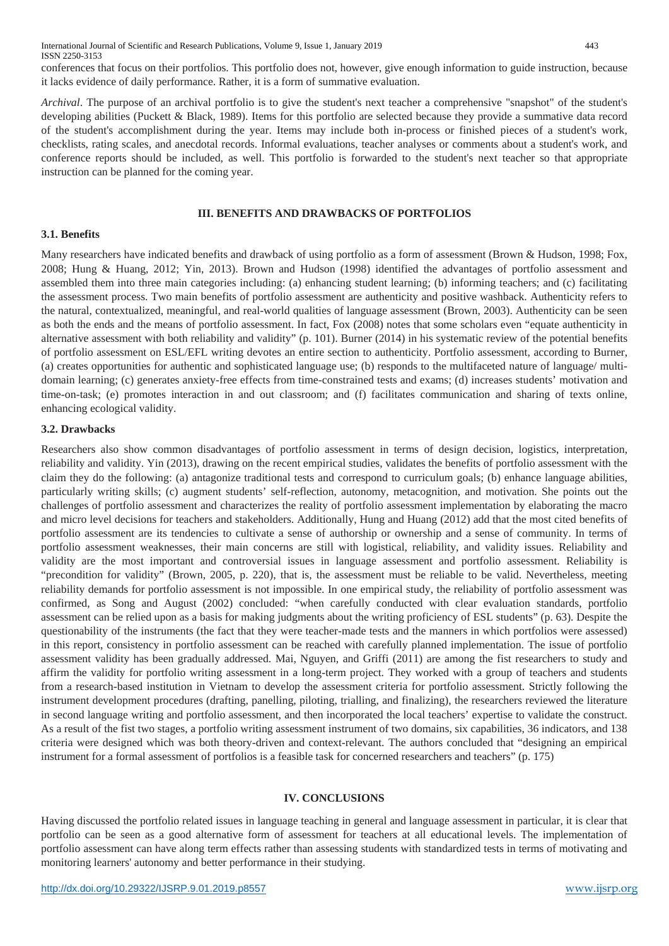conferences that focus on their portfolios. This portfolio does not, however, give enough information to guide instruction, because it lacks evidence of daily performance. Rather, it is a form of summative evaluation.

*Archival*. The purpose of an archival portfolio is to give the student's next teacher a comprehensive "snapshot" of the student's developing abilities (Puckett & Black, 1989). Items for this portfolio are selected because they provide a summative data record of the student's accomplishment during the year. Items may include both in-process or finished pieces of a student's work, checklists, rating scales, and anecdotal records. Informal evaluations, teacher analyses or comments about a student's work, and conference reports should be included, as well. This portfolio is forwarded to the student's next teacher so that appropriate instruction can be planned for the coming year.

#### **III. BENEFITS AND DRAWBACKS OF PORTFOLIOS**

## **3.1. Benefits**

Many researchers have indicated benefits and drawback of using portfolio as a form of assessment (Brown & Hudson, 1998; Fox, 2008; Hung & Huang, 2012; Yin, 2013). Brown and Hudson (1998) identified the advantages of portfolio assessment and assembled them into three main categories including: (a) enhancing student learning; (b) informing teachers; and (c) facilitating the assessment process. Two main benefits of portfolio assessment are authenticity and positive washback. Authenticity refers to the natural, contextualized, meaningful, and real-world qualities of language assessment (Brown, 2003). Authenticity can be seen as both the ends and the means of portfolio assessment. In fact, Fox (2008) notes that some scholars even "equate authenticity in alternative assessment with both reliability and validity" (p. 101). Burner (2014) in his systematic review of the potential benefits of portfolio assessment on ESL/EFL writing devotes an entire section to authenticity. Portfolio assessment, according to Burner, (a) creates opportunities for authentic and sophisticated language use; (b) responds to the multifaceted nature of language/ multidomain learning; (c) generates anxiety-free effects from time-constrained tests and exams; (d) increases students' motivation and time-on-task; (e) promotes interaction in and out classroom; and (f) facilitates communication and sharing of texts online, enhancing ecological validity.

## **3.2. Drawbacks**

Researchers also show common disadvantages of portfolio assessment in terms of design decision, logistics, interpretation, reliability and validity. Yin (2013), drawing on the recent empirical studies, validates the benefits of portfolio assessment with the claim they do the following: (a) antagonize traditional tests and correspond to curriculum goals; (b) enhance language abilities, particularly writing skills; (c) augment students' self-reflection, autonomy, metacognition, and motivation. She points out the challenges of portfolio assessment and characterizes the reality of portfolio assessment implementation by elaborating the macro and micro level decisions for teachers and stakeholders. Additionally, Hung and Huang (2012) add that the most cited benefits of portfolio assessment are its tendencies to cultivate a sense of authorship or ownership and a sense of community. In terms of portfolio assessment weaknesses, their main concerns are still with logistical, reliability, and validity issues. Reliability and validity are the most important and controversial issues in language assessment and portfolio assessment. Reliability is "precondition for validity" (Brown, 2005, p. 220), that is, the assessment must be reliable to be valid. Nevertheless, meeting reliability demands for portfolio assessment is not impossible. In one empirical study, the reliability of portfolio assessment was confirmed, as Song and August (2002) concluded: "when carefully conducted with clear evaluation standards, portfolio assessment can be relied upon as a basis for making judgments about the writing proficiency of ESL students" (p. 63). Despite the questionability of the instruments (the fact that they were teacher-made tests and the manners in which portfolios were assessed) in this report, consistency in portfolio assessment can be reached with carefully planned implementation. The issue of portfolio assessment validity has been gradually addressed. Mai, Nguyen, and Griffi (2011) are among the fist researchers to study and affirm the validity for portfolio writing assessment in a long-term project. They worked with a group of teachers and students from a research-based institution in Vietnam to develop the assessment criteria for portfolio assessment. Strictly following the instrument development procedures (drafting, panelling, piloting, trialling, and finalizing), the researchers reviewed the literature in second language writing and portfolio assessment, and then incorporated the local teachers' expertise to validate the construct. As a result of the fist two stages, a portfolio writing assessment instrument of two domains, six capabilities, 36 indicators, and 138 criteria were designed which was both theory-driven and context-relevant. The authors concluded that "designing an empirical instrument for a formal assessment of portfolios is a feasible task for concerned researchers and teachers" (p. 175)

#### **IV. CONCLUSIONS**

Having discussed the portfolio related issues in language teaching in general and language assessment in particular, it is clear that portfolio can be seen as a good alternative form of assessment for teachers at all educational levels. The implementation of portfolio assessment can have along term effects rather than assessing students with standardized tests in terms of motivating and monitoring learners' autonomy and better performance in their studying.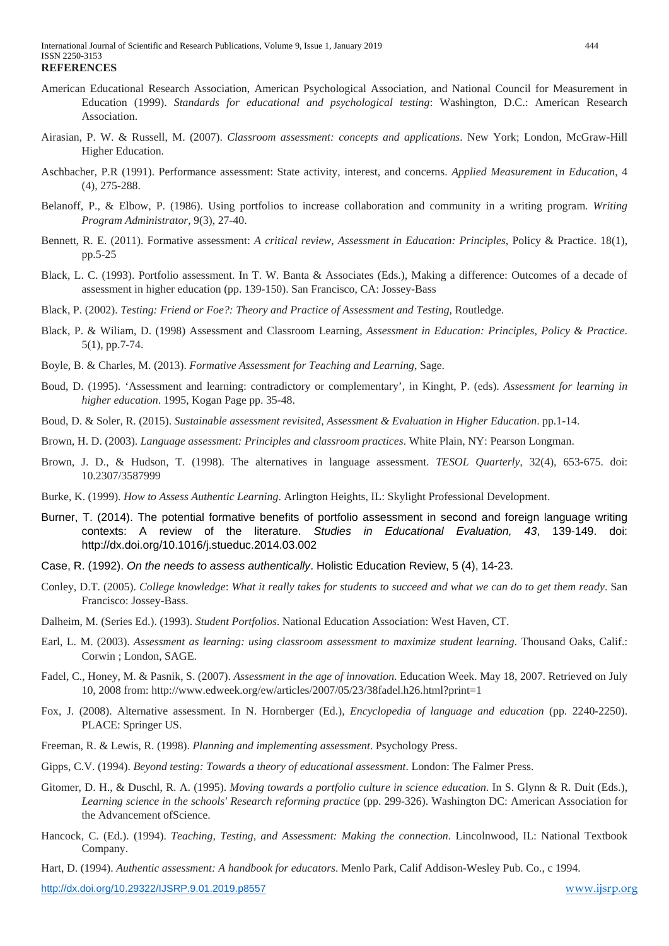- American Educational Research Association, American Psychological Association, and National Council for Measurement in Education (1999). *Standards for educational and psychological testing*: Washington, D.C.: American Research Association.
- Airasian, P. W. & Russell, M. (2007). *Classroom assessment: concepts and applications*. New York; London, McGraw-Hill Higher Education.
- Aschbacher, P.R (1991). Performance assessment: State activity, interest, and concerns. *Applied Measurement in Education*, 4 (4), 275-288.
- Belanoff, P., & Elbow, P. (1986). Using portfolios to increase collaboration and community in a writing program. *Writing Program Administrator*, 9(3), 27-40.
- Bennett, R. E. (2011). Formative assessment: *A critical review, Assessment in Education: Principles*, Policy & Practice. 18(1), pp.5-25
- Black, L. C. (1993). Portfolio assessment. In T. W. Banta & Associates (Eds.), Making a difference: Outcomes of a decade of assessment in higher education (pp. 139-150). San Francisco, CA: Jossey-Bass
- Black, P. (2002). *Testing: Friend or Foe?: Theory and Practice of Assessment and Testing*, Routledge.
- Black, P. & Wiliam, D. (1998) Assessment and Classroom Learning, *Assessment in Education: Principles, Policy & Practice*. 5(1), pp.7-74.
- Boyle, B. & Charles, M. (2013). *Formative Assessment for Teaching and Learning*, Sage.
- Boud, D. (1995). 'Assessment and learning: contradictory or complementary', in Kinght, P. (eds). *Assessment for learning in higher education*. 1995, Kogan Page pp. 35-48.
- Boud, D. & Soler, R. (2015). *Sustainable assessment revisited, Assessment & Evaluation in Higher Education*. pp.1-14.
- Brown, H. D. (2003). *Language assessment: Principles and classroom practices*. White Plain, NY: Pearson Longman.
- Brown, J. D., & Hudson, T. (1998). The alternatives in language assessment. *TESOL Quarterly*, 32(4), 653-675. doi: 10.2307/3587999
- Burke, K. (1999). *How to Assess Authentic Learning*. Arlington Heights, IL: Skylight Professional Development.
- Burner, T. (2014). The potential formative benefits of portfolio assessment in second and foreign language writing contexts: A review of the literature. *Studies in Educational Evaluation, 43*, 139-149. doi: http://dx.doi.org/10.1016/j.stueduc.2014.03.002
- Case, R. (1992). *On the needs to assess authentically*. Holistic Education Review, 5 (4), 14-23.
- Conley, D.T. (2005). *College knowledge*: *What it really takes for students to succeed and what we can do to get them ready*. San Francisco: Jossey-Bass.
- Dalheim, M. (Series Ed.). (1993). *Student Portfolios*. National Education Association: West Haven, CT.
- Earl, L. M. (2003). *Assessment as learning: using classroom assessment to maximize student learning*. Thousand Oaks, Calif.: Corwin ; London, SAGE.
- Fadel, C., Honey, M. & Pasnik, S. (2007). *Assessment in the age of innovation*. Education Week. May 18, 2007. Retrieved on July 10, 2008 from: http://www.edweek.org/ew/articles/2007/05/23/38fadel.h26.html?print=1
- Fox, J. (2008). Alternative assessment. In N. Hornberger (Ed.), *Encyclopedia of language and education* (pp. 2240-2250). PLACE: Springer US.
- Freeman, R. & Lewis, R. (1998). *Planning and implementing assessment*. Psychology Press.
- Gipps, C.V. (1994). *Beyond testing: Towards a theory of educational assessment*. London: The Falmer Press.
- Gitomer, D. H., & Duschl, R. A. (1995). *Moving towards a portfolio culture in science education*. In S. Glynn & R. Duit (Eds.), *Learning science in the schools' Research reforming practice* (pp. 299-326). Washington DC: American Association for the Advancement ofScience.
- Hancock, C. (Ed.). (1994). *Teaching, Testing, and Assessment: Making the connection*. Lincolnwood, IL: National Textbook Company.
- Hart, D. (1994). *Authentic assessment: A handbook for educators*. Menlo Park, Calif Addison-Wesley Pub. Co., c 1994.